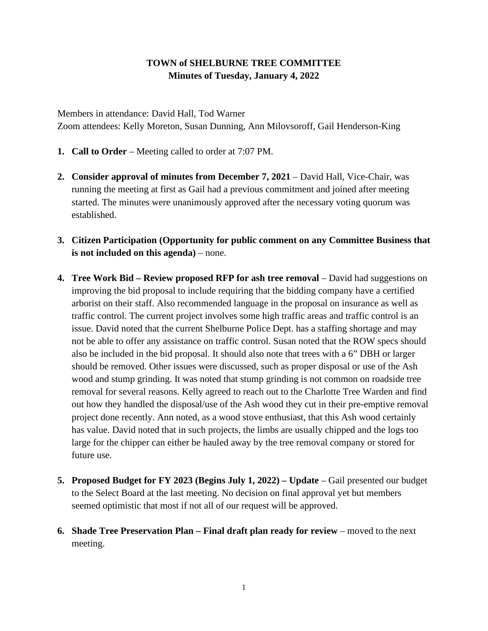## **TOWN of SHELBURNE TREE COMMITTEE Minutes of Tuesday, January 4, 2022**

Members in attendance: David Hall, Tod Warner Zoom attendees: Kelly Moreton, Susan Dunning, Ann Milovsoroff, Gail Henderson-King

- **1. Call to Order**  Meeting called to order at 7:07 PM.
- **2. Consider approval of minutes from December 7, 2021** David Hall, Vice-Chair, was running the meeting at first as Gail had a previous commitment and joined after meeting started. The minutes were unanimously approved after the necessary voting quorum was established.
- **3. Citizen Participation (Opportunity for public comment on any Committee Business that is not included on this agenda)** – none.
- **4. Tree Work Bid – Review proposed RFP for ash tree removal** David had suggestions on improving the bid proposal to include requiring that the bidding company have a certified arborist on their staff. Also recommended language in the proposal on insurance as well as traffic control. The current project involves some high traffic areas and traffic control is an issue. David noted that the current Shelburne Police Dept. has a staffing shortage and may not be able to offer any assistance on traffic control. Susan noted that the ROW specs should also be included in the bid proposal. It should also note that trees with a 6" DBH or larger should be removed. Other issues were discussed, such as proper disposal or use of the Ash wood and stump grinding. It was noted that stump grinding is not common on roadside tree removal for several reasons. Kelly agreed to reach out to the Charlotte Tree Warden and find out how they handled the disposal/use of the Ash wood they cut in their pre-emptive removal project done recently. Ann noted, as a wood stove enthusiast, that this Ash wood certainly has value. David noted that in such projects, the limbs are usually chipped and the logs too large for the chipper can either be hauled away by the tree removal company or stored for future use.
- **5. Proposed Budget for FY 2023 (Begins July 1, 2022) – Update** Gail presented our budget to the Select Board at the last meeting. No decision on final approval yet but members seemed optimistic that most if not all of our request will be approved.
- **6. Shade Tree Preservation Plan – Final draft plan ready for review** moved to the next meeting.